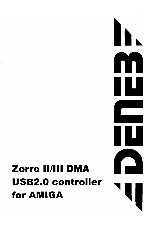## **Zorro IIIIII DMA USB2.0 controller for AMIGA**

Ļ

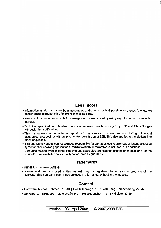#### **Legal notes**

- Information in this manual has been assembled and checked with all possible accurency. Anyhow, we cannot be made responsible for errors or missing parts.
- We cannot be made responsible for damages which are caused by using any information given in this manual.
- Technical specification of hardware and / or software may be changed by E3B and Chris Hodges without further notification.
- This manual may not be copied or reproduced in any way and by any means, including optical and electronical proceedings without prior written permission of E3B. This also applies to translations into other languages.
- E3B and Chris Hodges cannot be made responsible for damages due to erronous or lost data caused by misfunction or wrong application of the DENE3 and / or the software included in this package.
- Damages caused by misaligned plugging and static discharges at the expansion module and / or the computer it was installed are explicitly not covered by guarantee.

#### **Trademarks**

- $\bullet$  DENEB is a trademark of E3B.
- Names and products used in this manual may be registered trademarks or products of the corresponding company, even if they are used in this manual without further noctice.

#### **Contact**

- Hardware: Michael Bohmer, Fa. E3B I Hohlleitenweg 11d I 85410 Haag I mboehmer@e3b.de
- Software: Chris Hodges | Motorstraße 34a | 80809 München | chrisly@platon42.de

Version 1.03 - April 2008 © 2007,2008 E3B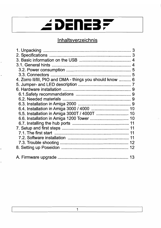## *EDENEBF*

### Inhaltsverzeichnis

| 4. Zorro II/III, PIO and DMA - things you should know  6 |  |
|----------------------------------------------------------|--|
|                                                          |  |
|                                                          |  |
|                                                          |  |
|                                                          |  |
|                                                          |  |
|                                                          |  |
| 6.5. Installation in Amiga 3000T / 4000T  10             |  |
| 6.6. Installation in Amiga 1200 Tower  10                |  |
|                                                          |  |
|                                                          |  |
|                                                          |  |
|                                                          |  |
|                                                          |  |
|                                                          |  |
|                                                          |  |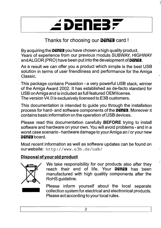## *2* DENEB

**Thanks for choosing our DENEB card!** 

By acquiring the **DENEE** you have chosen a high quality product. Years of experience from our previous moduls SUBWAY, HIGHWAY and ALGOR (PRO) have been put into the development of **DENEB**.

As a result we can offer you a product which simple is the best USB solution in terms of user friendliness and performance for the Amiga Classic.

This package contains Poseidon - a very powerful USB stack, winner of the Amiga Award 2002. It has established as de-facto standard for USB on Amiga and is included as full featured OEM license. The version V4.0 is exclusively licensed to E3B customers.

This documentation is intended to guide you through the installation process for hard- and software components of the **DENE3**. Moreover it contains basic information on the operation of USB devices.

Please read this documentation carefully **BEFORE** trying to install software and hardware on your own. You will avoid problems - and in a worst case scenario - hardware damage to your Amiga an / or your new **DENEB** board.

Most recent information as well as software updates can be found on ourwebsite: http://www.e3b.de/usb/

#### **Disposal** of your old **product**



We take responsibility for our products also after they reach their end of life. Your **DENE3** has been manufactured with high qualitiy components after the RoHS guideline.

Please inform yourself about the local separate collection system for electrical and electronical products. Please act according to your local rules.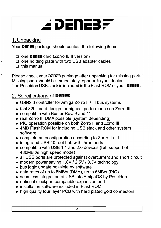## ≤ DENEB;

## 1. Unpacking

Your **DENE3** package should contain the following items:

- □ one **DENE3** card (Zorro II/III version)
- $\Box$  one holding plate with two USB adapter cables
- $\Box$  this manual

Please check your **DENEE** package after unpacking for missing parts! Missing parts should be immediately reported to your dealer. The Poseidon USB stack is included in the FlashROM of your **DENE3**.

## 2. Specifications of **DENEB**

- USB2.0 controller for Amiga Zorro II / III bus systems
- fast 32bit card design for highest performance on Zorro III
- compatible with Buster Rev. 9 and 11
- real Zorro III DMA possible (system depending)
- PIO operation possible on both Zorro II and Zorro III
- 4MB FlashROM for including USB stack and other system software
- complete autoconfiguration according to Zorro II / III
- integrated USB2.0 root hub with three ports
- compatible with USB 1.1 and 2.0 devices **(full** support of 480MBit/s high speed mode)
- all USB ports are protected against overcurrent and short circuit
- modern power saving 1.BV I 2.5V I 3.3V technology
- bus logic update possible by software
- data rates of up to BMB/s (DMA). up to 5MB/s (PIO)
- seamless integration of USB into AmigaOS by Poseidon
- optional clockport compatible expansion port
- installation software included in FlashROM
- high quality four layer PCB with hard plated gold connectors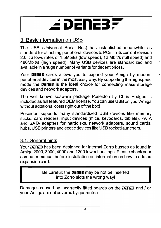

## 3. Basic nformation on USB

The USB (Universal Serial Bus) has established meanwhile as standard for attaching peripherial devices to PCs. In its current revision 2.0 it allows rates of 1.5Mbit/s (low speed), 12 Mbit/s (full speed) and 480Mbit/s (high speed). Many USB devices are standardized and available in a huge number of variants for decent prices.

Your **DENE3** cards allows you to expand your Amiga by modern peripherial devices in the most easy way. By supporting the highspeed mode the **DENE3** is the ideal choice for connecting mass storage devices and network adaptors.

The well known software package Poseidon by Chris Hodges is included as full featured OEM license. You can use USB on your Amiga without additional costs right out of the box!

Poseidon supports many standardized USB devices like memory sticks, card readers, input devices (mice, keyboards, tablets), PATA and SATA adapters for harddisks, network adapters, sound cards, hubs, USB printers and exotic devices like USB rocket launchers.

### 3.1. General hints

Your DENE3 has been designed for internal Zorro busses as found in Amiga 2000, 3000, 4000 and 1200 tower housings. Please check your computer manual before installation on information on how to add an expansion card.

> Be careful: the **DENE3** may be not be inserted into Zorro slots the wrong way!

Damages caused by incorrectly fitted boards on the DENE3 and / or your Amiga are not covered by guarantee.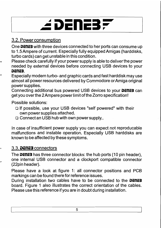## 

## 3.2. Power consumption

One **DENE3** with three devices connected to her ports can consume up to 1.5 Ampere of current. Especially fully equipped Amigas (harddisks, turbo cards) can get unstable in this condition.

Please check carefully if your power supply is able to deliver the power needed by external devices before connecting USB devices to your **i**DENE3.

Especially modern turbo- and graphic cards and fast harddisk may use almost all power resources delivered by Commodore or Amiga original power supplies.

Connecting additional bus powered USB devices to your **DENEB** can get you over the 2 Ampere power limit of the Zorro specification!

Possible solutions:

- □ If possible, use your USB devices "self powered" with their own power supplies attached.
- $\Box$  Connect an USB hub with own power supply..

In case of insufficient power supply you can expect not reproducable malfunctions and instable operation. Especially USB harddisks are known to be affected by these symptoms.

#### 3.3. **DENEB** connectors

The **DENE3** has three connector blocks: the hub ports (10 pin header), one internal USB connector and a clockport compatible connector (22pin header).

Please have a look at figure 1: all connector positions and PCB markings can be found there for reference issues.

During installation two cables have to be connected to the **DENEB** board. Figure 1 also illustrates the correct orientation of the cables. Please use this reference if you are in doubt during installation.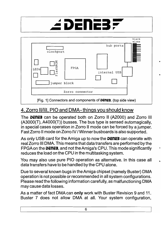## ≤ DENE3



## 4. Zorro 11/111, PIC and DMA- things you should know

The **DENE3** can be operated both on Zorro II (A2000) and Zorro III (A3000(T), A4000(T)) busses. The bus type is sensed automagically, in special cases operation in Zorro II mode can be forced by a jumper. Fast Zorro II mode on Zorro IV / Winner busboards is also supported.

As only USB card for the Amiga up to now the **DENE3** can operate with real Zorro III DMA. This means that data transfers are performed by the FPGA on the **DENE3**, and not the Amiga's CPU. This mode significantly reduces the load on the CPU in the multitasking system.

You may also use pure PIO operation as alternative. In this case all data transfers have to be handled by the CPU alone.

Due to several known bugs in theAmiga chipset (namely Buster) DMA operation is not possible or recommended in all system configurations. Please read the following information carefully, as malfunctioning DMA may cause data losses.

As a matter of fact DMA can only work with Buster Revision 9 and 11. Buster 7 does not allow DMA at all. Your system configuration,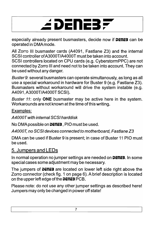## 

especially already present busmasters, decide now if **DENE3** can be operated in DMAmode.

All Zorro III busmaster cards (A4091, Fastlane Z3) and the internal SCSI controller of *A3000T/A4000T* must be taken into account. SCSI controllers located on CPU cards (e.g. CyberstormPPC) are not connected by Zorro III and need not to be taken into account. They can be used without any danger.

Buster 9: several busmasters can operate simultanously, as long as all use a special workaround in hardware for Buster 9 (e.g. Fastlane Z3). Busmasters without workaround will drive the system instable (e.g. A4091,A3000T/A4000T SCSI).

Buster 11: only **ONE** busmaster may be active here in the system. Workarounds are not known at the time of this writing.

#### Examples:

A4000Twith internal SCSI harddisk

No DMA possible on **DENE3**, PIO must be used.

A4000T, no SCSI devices connected to motherboard, Fastlane Z3

DMA can be used if Buster 9 is present; in case of Buster 11 PIO must be used.

## 5. Jumpers and LEDs

In normal operation no jumper settings are needed on **DENE3**. In some special cases some adjustment may be necessary.

The jumpers of **DENE3** are located on lower left side right above the Zorro connector (check fig. 1 on page 6). A brief description is located on the upper left edge of the **DENE3** PCB.

Please note: do not use any other jumper settings as described here! Jumpers may only be changed in power off state!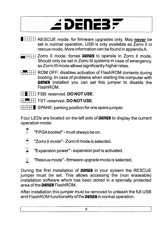## ≤ DENEB;

- $\Box$  RESCUE mode: for firmware upgrades only. May never be set in normal operation. USB is only availabla as Zorro II in rescue mode. More information can be found in appendixA.
- **THE Zorro II mode: forces DENEB** to operate in Zorro II mode. Should only be set in Zorro III systems in case of emergency, as Zorro III mode allows significantly higher rates.
- $\overline{H}$   $\overline{H}$  ROM OFF: disables activation of FlashROM contents during booting. In case of problems when starting the computer with **DENEB** installed you can set this jumper to disable the FlashROM.
- 11I1111 FSB: reserved. **DO NOT** USE.
- **THE TST: reserved. DO NOT USE.**
- $\Box$  SPARE: parking position for one spare jumper.

Four LEDs are located on the left side of **DENE3** to display the current operation mode:

- o n n "FPGA booted" - must always be on.
- $\hspace{0.1mm}$ - $\Box$ "Zorro II mode"-Zorro II mode is selected.
- $\equiv$ "Expansion power" - expansion port is activated.
- $\equiv$ -"Rescue mode" - firmware upgrade mode is selected.

During the first installation of **DENEB** in your system the RESCUE jumper must be set. This allows accessing the (non eraseable) installation software which has been stored in a specially protected area of the **i)i:ni:!I** FlashROM.

After installation this jumper must be removed to unleash the full USB and FlashROM functionality of the **DENE3** in normal operation.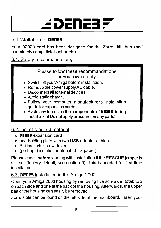

## 6. Installation of **DENEB**

Your **DENE3** card has been designed for the Zorro II/III bus (and completely compatible busboards).

### 6.1. Safety recommandations

#### Please follow these recommandations for your own safety:

- $\triangleright$  Switch off your Amiga before installation.
- $\triangleright$  Remove the power supply AC cable.
- ▶ Disconnect all external devices.
- $\blacktriangleright$  Avoid static charge.
- Follow your computer manufacturer's installation guide for expansion cards.
- ▶ Avoid any forces on the components of **DENE3** during installation! Do not apply pressure on any parts!

## 6.2. List of required material

- <sup>o</sup>**i)cnc3** expansion card
- $\Box$  one holding plate with two USB adapter cables
- <sup>o</sup>Philips style screw driver
- <sup>o</sup>(perhaps) isolation material (thick paper)

Please check **before** starting with installation if the RESCUE jumper is still set (factory default, see section 5). This is needed for first time installation.

### 6.3. **DENEB** installation in the Amiga 2000

Open your Amiga 2000 housing by removing five screws in total: two on each side and one at the back of the housing. Afterwards, the upper part of the housing can easily be removed.

Zorro slots can be found on the left side of the mainboard. Insert your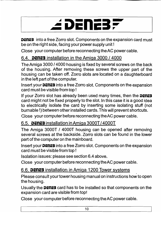# *2* DENEB F

**DENEB** into a free Zorro slot. Components on the expansion card must be on the right side, facing your power supply unit!

Close your computer before reconnecting the AC power cable.

### 6.4. **DENE3** installation in the Amiga 3000 / 4000

The Amiga 3000 / 4000 housing is fixed by several screws on the back of the housing. After removing these screws the upper part of the housing can be taken off. Zorro slots are located on a daughterboard in the left part of the computer.

**Insert your DENE3** into a free Zorro slot. Components on the expansion card must be visible from top!

If your Zorro slot has already been used many times, then the **DENE3** card might not be fixed properly to the slot. In this case it is a good idea to electrically isolate the card by inserting some isolating stuff (not burnable !) between other installed cards. This will prevent shortcuts.

Close your computer before reconnecting the AC power cable.

### 6.5. **DENE3** installation in Amiga 3000T/4000T

The Amiga 3000T / 4000T housing can be opened after removing several screws at the backside. Zorro slots can be found in the lower part of the computer on the mainboard.

Insert your **DENEE** into a free Zorro slot. Components on the expansion card must be visible from top!

Isolation issues: please see section 6.4 above.

Close your computer before reconnecting the AC power cable.

### 6.6. **DENE3** installation in Amiga 1200 Tower systems

Please consult your tower housing manual on instructions how to open the housing.

Usually the **DENE3** card has to be installed so that components on the expansion card are visible from top!

Close your computer before reconnecting theAC power cable.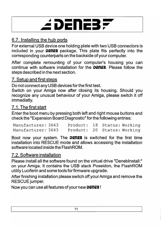

## 6.7. Installing the hub ports

For external USB device one holding plate with two USB connectors is included in your **DENE3** package. This plate fits perfectly into the corresponding counterparts on the backside of your computer.

After complete remounting of your computer's housing you can continue with software installation for the **DENE3**. Please follow the steps described in the next section.

#### 7. Setup and first steps

Do not connect any USB devices for the first test.

Switch on your Amiga now after closing its housing. Should you recognize any unusual behaviour of your Amiga, please switch it off immediatly.

### 7.1. The first start

Enter the boot menu by pressing both left and right mouse buttons and check the "Expansion Board Diagnostic" for the following entries:

| Manufacturer: 3643 | Product: 18 Status: Working |  |  |
|--------------------|-----------------------------|--|--|
| Manufacturer: 3643 | Product: 20 Status: Working |  |  |

Boot now your system. The **DENEB** is switched for the first time installation into RESCUE mode and allows accessing the installation software located inside the FlashROM.

### 7.2. Software installation

Please install all the software found on the virtual drive "Deneblnstall:" on your Amiga. It contains the USB stack Poseidon, the FlashROM utility Luciferin and some tools for firmware upgrade.

After finishing installation please switch off your Amiga and remove the **RESCUE** jumper.

Now you can use all features of your new **DENEB**!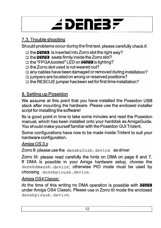## EDENEB*F*

## 7.3. Trouble shooting

Should problems occur during the first test, please carefully check if:

- □ the **DENE3** is inserted into Zorro slot the right way?
- □ the **DENEB** seats firmly inside the Zorro slot?
- **□ the "FPGA booted" LED on <b>DENE3** is lighting?
- $\Box$  the Zorro slot used is not weared out?
- $\Box$  any cables have been damaged or removed during installation?
- $\Box$  jumpers are located on wrong or reserved positions?
- $\Box$  the RESCUE jumper has been set for first time installation?

## 8. Setting up Poseidon

We assume at this point that you have installed the Poseidon USB stack after mounting the hardware. Please use the enclosed installer script for installing the software!

Its is good point in time to take some minutes and read the Poseidon manual, which has been installed onto your harddisk as AmigaGuide. You should make yourself familiar with the Poseidon GUI Trident.

Some configurations have now to be made inside Trident to suit your hardware configuration.

#### Amiga OS 3.x

Zorro II: please use the denebz2usb. device as driver

Zorro III: please read carefully the hints on DMA on page 6 and 7. If DMA is possible in your Amiga hardware setup, choose the denebdmausb. device; otherwise PIO mode must be used by choosing denebpiousb. device.

### Amiqa OS4 Classic:

At the time of this writing no DMA operation is possible with **DENE3** under Amiga OS4 Classic. Please use in Zorro III mode the enclosed denebpiousb.device.